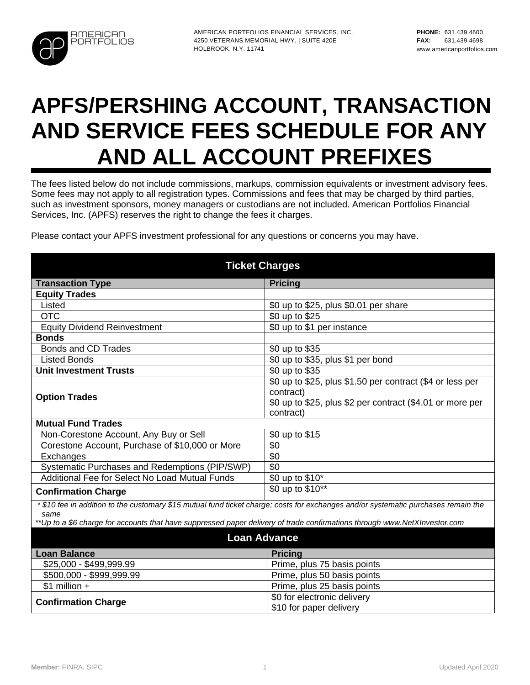

# **APFS/PERSHING ACCOUNT, TRANSACTION AND SERVICE FEES SCHEDULE FOR ANY AND ALL ACCOUNT PREFIXES**

The fees listed below do not include commissions, markups, commission equivalents or investment advisory fees. Some fees may not apply to all registration types. Commissions and fees that may be charged by third parties, such as investment sponsors, money managers or custodians are not included. American Portfolios Financial Services, Inc. (APFS) reserves the right to change the fees it charges.

Please contact your APFS investment professional for any questions or concerns you may have.

| <b>Ticket Charges</b>                                                                                                             |                                                           |
|-----------------------------------------------------------------------------------------------------------------------------------|-----------------------------------------------------------|
| <b>Transaction Type</b>                                                                                                           | <b>Pricing</b>                                            |
| <b>Equity Trades</b>                                                                                                              |                                                           |
| Listed                                                                                                                            | \$0 up to \$25, plus \$0.01 per share                     |
| <b>OTC</b>                                                                                                                        | \$0 up to \$25                                            |
| <b>Equity Dividend Reinvestment</b>                                                                                               | \$0 up to \$1 per instance                                |
| <b>Bonds</b>                                                                                                                      |                                                           |
| <b>Bonds and CD Trades</b>                                                                                                        | \$0 up to \$35                                            |
| <b>Listed Bonds</b>                                                                                                               | \$0 up to \$35, plus \$1 per bond                         |
| <b>Unit Investment Trusts</b>                                                                                                     | \$0 up to \$35                                            |
|                                                                                                                                   | \$0 up to \$25, plus \$1.50 per contract (\$4 or less per |
| <b>Option Trades</b>                                                                                                              | contract)                                                 |
|                                                                                                                                   | \$0 up to \$25, plus \$2 per contract (\$4.01 or more per |
|                                                                                                                                   | contract)                                                 |
| <b>Mutual Fund Trades</b>                                                                                                         |                                                           |
| Non-Corestone Account, Any Buy or Sell                                                                                            | \$0 up to \$15                                            |
| Corestone Account, Purchase of \$10,000 or More                                                                                   | \$0                                                       |
| Exchanges                                                                                                                         | \$0                                                       |
| Systematic Purchases and Redemptions (PIP/SWP)                                                                                    | \$0                                                       |
| Additional Fee for Select No Load Mutual Funds                                                                                    | \$0 up to \$10*                                           |
| <b>Confirmation Charge</b>                                                                                                        | \$0 up to \$10**                                          |
| *\$10 fee in addition to the customary \$15 mutual fund ticket charge; costs for exchanges and/or systematic purchases remain the |                                                           |
| same                                                                                                                              |                                                           |
| ** Up to a \$6 charge for accounts that have suppressed paper delivery of trade confirmations through www. NetXInvestor.com       |                                                           |
| <b>Loan Advance</b>                                                                                                               |                                                           |
| <b>Loan Balance</b>                                                                                                               | <b>Pricing</b>                                            |
| \$25,000 - \$499,999.99                                                                                                           | Prime, plus 75 basis points                               |
| \$500,000 - \$999,999.99                                                                                                          | Prime, plus 50 basis points                               |
| $$1$ million +                                                                                                                    | Prime, plus 25 basis points                               |
| <b>Confirmation Charge</b>                                                                                                        | \$0 for electronic delivery                               |
|                                                                                                                                   | \$10 for paper delivery                                   |
|                                                                                                                                   |                                                           |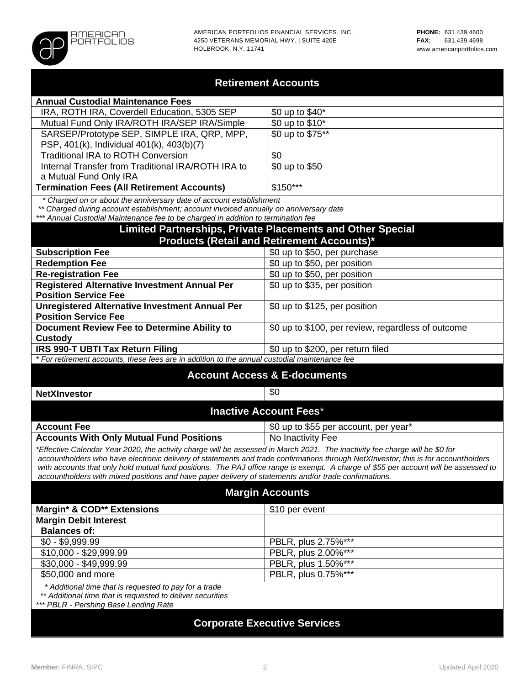

#### **Retirement Accounts**

| \$0 up to \$40 <sup>*</sup> |
|-----------------------------|
| \$0 up to \$10*             |
| \$0 up to \$75**            |
|                             |
| \$0                         |
| \$0 up to \$50              |
|                             |
| $$150***$                   |
|                             |

 *\* Charged on or about the anniversary date of account establishment*

*\*\* Charged during account establishment; account invoiced annually on anniversary date*

*\*\*\* Annual Custodial Maintenance fee to be charged in addition to termination fee*

#### **Limited Partnerships, Private Placements and Other Special Products (Retail and Retirement Accounts)\***

| <b>Subscription Fee</b><br>\$0 up to \$50, per purchase<br>\$0 up to \$50, per position<br><b>Redemption Fee</b><br>\$0 up to \$50, per position<br><b>Re-registration Fee</b><br><b>Registered Alternative Investment Annual Per</b><br>\$0 up to \$35, per position<br><b>Position Service Fee</b><br><b>Unregistered Alternative Investment Annual Per</b><br>\$0 up to \$125, per position<br><b>Position Service Fee</b><br>\$0 up to \$100, per review, regardless of outcome<br><b>Document Review Fee to Determine Ability to</b><br><b>Custody</b><br>\$0 up to \$200, per return filed |                                         |  |
|--------------------------------------------------------------------------------------------------------------------------------------------------------------------------------------------------------------------------------------------------------------------------------------------------------------------------------------------------------------------------------------------------------------------------------------------------------------------------------------------------------------------------------------------------------------------------------------------------|-----------------------------------------|--|
|                                                                                                                                                                                                                                                                                                                                                                                                                                                                                                                                                                                                  |                                         |  |
|                                                                                                                                                                                                                                                                                                                                                                                                                                                                                                                                                                                                  |                                         |  |
|                                                                                                                                                                                                                                                                                                                                                                                                                                                                                                                                                                                                  |                                         |  |
|                                                                                                                                                                                                                                                                                                                                                                                                                                                                                                                                                                                                  |                                         |  |
|                                                                                                                                                                                                                                                                                                                                                                                                                                                                                                                                                                                                  |                                         |  |
|                                                                                                                                                                                                                                                                                                                                                                                                                                                                                                                                                                                                  |                                         |  |
|                                                                                                                                                                                                                                                                                                                                                                                                                                                                                                                                                                                                  |                                         |  |
|                                                                                                                                                                                                                                                                                                                                                                                                                                                                                                                                                                                                  |                                         |  |
|                                                                                                                                                                                                                                                                                                                                                                                                                                                                                                                                                                                                  |                                         |  |
|                                                                                                                                                                                                                                                                                                                                                                                                                                                                                                                                                                                                  | <b>IRS 990-T UBTI Tax Return Filing</b> |  |

*\* For retirement accounts, these fees are in addition to the annual custodial maintenance fee*

#### **Account Access & E-documents**

**NetXInvestor**  $\qquad$   $\qquad$  30

#### **Inactive Account Fees**\*

| <b>Account Fee</b>                                                                                                           | \$0 up to \$55 per account, per year* |
|------------------------------------------------------------------------------------------------------------------------------|---------------------------------------|
| <b>Accounts With Only Mutual Fund Positions</b>                                                                              | No Inactivity Fee                     |
| *Effective Calendar Year 2020, the activity charge will be assessed in March 2021. The inactivity fee charge will be \$0 for |                                       |

*accountholders who have electronic delivery of statements and trade confirmations through NetXInvestor; this is for accountholders*  with accounts that only hold mutual fund positions. The PAJ office range is exempt. A charge of \$55 per account will be assessed to *accountholders with mixed positions and have paper delivery of statements and/or trade confirmations.*

### **Margin Accounts**

| \$10 per event      |
|---------------------|
|                     |
|                     |
| PBLR, plus 2.75%*** |
| PBLR, plus 2.00%*** |
| PBLR, plus 1.50%*** |
| PBLR, plus 0.75%*** |
|                     |

 *\* Additional time that is requested to pay for a trade*

 *\*\* Additional time that is requested to deliver securities*

*\*\*\* PBLR - Pershing Base Lending Rate*

### **Corporate Executive Services**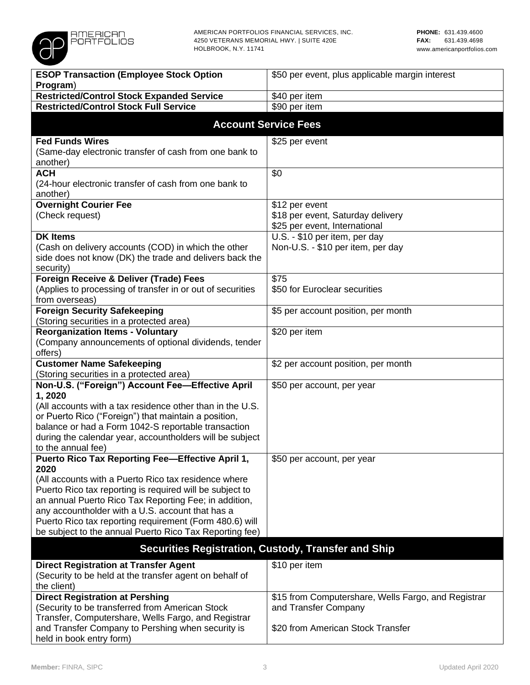

| <b>ESOP Transaction (Employee Stock Option</b>                                                              | \$50 per event, plus applicable margin interest            |
|-------------------------------------------------------------------------------------------------------------|------------------------------------------------------------|
| Program)                                                                                                    |                                                            |
| <b>Restricted/Control Stock Expanded Service</b>                                                            | \$40 per item                                              |
| <b>Restricted/Control Stock Full Service</b>                                                                | \$90 per item                                              |
|                                                                                                             | <b>Account Service Fees</b>                                |
| <b>Fed Funds Wires</b>                                                                                      | \$25 per event                                             |
| (Same-day electronic transfer of cash from one bank to<br>another)                                          |                                                            |
| <b>ACH</b>                                                                                                  | \$0                                                        |
| (24-hour electronic transfer of cash from one bank to<br>another)                                           |                                                            |
| <b>Overnight Courier Fee</b>                                                                                | \$12 per event                                             |
| (Check request)                                                                                             | \$18 per event, Saturday delivery                          |
|                                                                                                             | \$25 per event, International                              |
| <b>DK Items</b>                                                                                             | U.S. - \$10 per item, per day                              |
| (Cash on delivery accounts (COD) in which the other                                                         | Non-U.S. - \$10 per item, per day                          |
| side does not know (DK) the trade and delivers back the                                                     |                                                            |
| security)<br>Foreign Receive & Deliver (Trade) Fees                                                         | \$75                                                       |
| (Applies to processing of transfer in or out of securities                                                  | \$50 for Euroclear securities                              |
| from overseas)                                                                                              |                                                            |
| <b>Foreign Security Safekeeping</b>                                                                         | \$5 per account position, per month                        |
| (Storing securities in a protected area)                                                                    |                                                            |
| <b>Reorganization Items - Voluntary</b>                                                                     | \$20 per item                                              |
| (Company announcements of optional dividends, tender                                                        |                                                            |
| offers)                                                                                                     |                                                            |
| <b>Customer Name Safekeeping</b>                                                                            | \$2 per account position, per month                        |
| (Storing securities in a protected area)                                                                    |                                                            |
| Non-U.S. ("Foreign") Account Fee-Effective April                                                            | \$50 per account, per year                                 |
| 1,2020                                                                                                      |                                                            |
| (All accounts with a tax residence other than in the U.S.                                                   |                                                            |
| or Puerto Rico ("Foreign") that maintain a position,<br>balance or had a Form 1042-S reportable transaction |                                                            |
| during the calendar year, accountholders will be subject                                                    |                                                            |
| to the annual fee)                                                                                          |                                                            |
| Puerto Rico Tax Reporting Fee-Effective April 1,                                                            | \$50 per account, per year                                 |
| 2020                                                                                                        |                                                            |
| (All accounts with a Puerto Rico tax residence where                                                        |                                                            |
| Puerto Rico tax reporting is required will be subject to                                                    |                                                            |
| an annual Puerto Rico Tax Reporting Fee; in addition,                                                       |                                                            |
| any accountholder with a U.S. account that has a                                                            |                                                            |
| Puerto Rico tax reporting requirement (Form 480.6) will                                                     |                                                            |
| be subject to the annual Puerto Rico Tax Reporting fee)                                                     |                                                            |
|                                                                                                             | <b>Securities Registration, Custody, Transfer and Ship</b> |
| <b>Direct Registration at Transfer Agent</b>                                                                | \$10 per item                                              |
| (Security to be held at the transfer agent on behalf of                                                     |                                                            |
| the client)                                                                                                 |                                                            |
| <b>Direct Registration at Pershing</b>                                                                      | \$15 from Computershare, Wells Fargo, and Registrar        |
| (Security to be transferred from American Stock                                                             | and Transfer Company                                       |
| Transfer, Computershare, Wells Fargo, and Registrar                                                         |                                                            |
| and Transfer Company to Pershing when security is<br>held in book entry form)                               | \$20 from American Stock Transfer                          |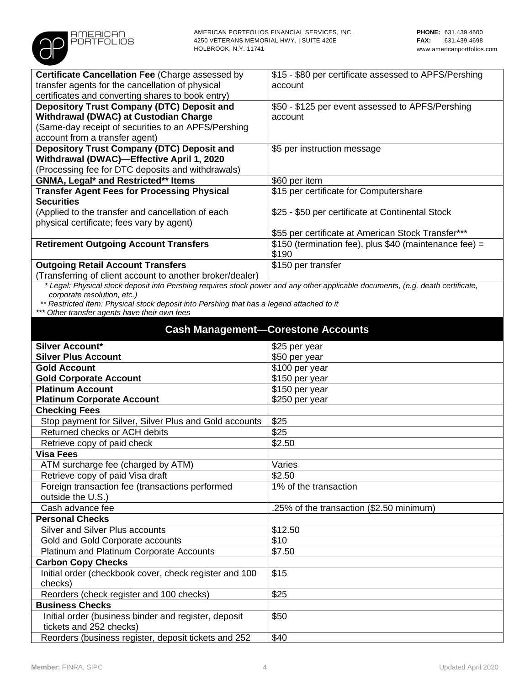

 *\* Legal: Physical stock deposit into Pershing requires stock power and any other applicable documents, (e.g. death certificate, corporate resolution, etc.)*

 *\*\* Restricted Item: Physical stock deposit into Pershing that has a legend attached to it*

*\*\*\* Other transfer agents have their own fees*

**AMERICAN PORTFOLIOS** 

| <b>Cash Management-Corestone Accounts</b>              |                                          |
|--------------------------------------------------------|------------------------------------------|
| <b>Silver Account*</b>                                 | \$25 per year                            |
| <b>Silver Plus Account</b>                             | \$50 per year                            |
| <b>Gold Account</b>                                    | \$100 per year                           |
| <b>Gold Corporate Account</b>                          | \$150 per year                           |
| <b>Platinum Account</b>                                | $$150$ per year                          |
| <b>Platinum Corporate Account</b>                      | \$250 per year                           |
| <b>Checking Fees</b>                                   |                                          |
| Stop payment for Silver, Silver Plus and Gold accounts | \$25                                     |
| Returned checks or ACH debits                          | \$25                                     |
| Retrieve copy of paid check                            | \$2.50                                   |
| <b>Visa Fees</b>                                       |                                          |
| ATM surcharge fee (charged by ATM)                     | Varies                                   |
| Retrieve copy of paid Visa draft                       | \$2.50                                   |
| Foreign transaction fee (transactions performed        | 1% of the transaction                    |
| outside the U.S.)                                      |                                          |
| Cash advance fee                                       | .25% of the transaction (\$2.50 minimum) |
| <b>Personal Checks</b>                                 |                                          |
| Silver and Silver Plus accounts                        | \$12.50                                  |
| Gold and Gold Corporate accounts                       | \$10                                     |
| Platinum and Platinum Corporate Accounts               | \$7.50                                   |
| <b>Carbon Copy Checks</b>                              |                                          |
| Initial order (checkbook cover, check register and 100 | \$15                                     |
| checks)                                                |                                          |
| Reorders (check register and 100 checks)               | \$25                                     |
| <b>Business Checks</b>                                 |                                          |
| Initial order (business binder and register, deposit   | \$50                                     |
| tickets and 252 checks)                                |                                          |
| Reorders (business register, deposit tickets and 252   | \$40                                     |